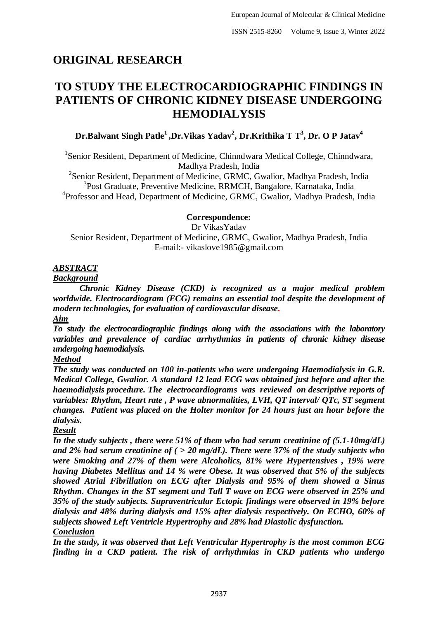# **ORIGINAL RESEARCH**

# **TO STUDY THE ELECTROCARDIOGRAPHIC FINDINGS IN PATIENTS OF CHRONIC KIDNEY DISEASE UNDERGOING HEMODIALYSIS**

## **Dr.Balwant Singh Patle<sup>1</sup>,Dr.Vikas Yadav<sup>2</sup> , Dr.Krithika T T<sup>3</sup> , Dr. O P Jatav<sup>4</sup>**

<sup>1</sup>Senior Resident, Department of Medicine, Chinndwara Medical College, Chinndwara, Madhya Pradesh, India

<sup>2</sup>Senior Resident, Department of Medicine, GRMC, Gwalior, Madhya Pradesh, India <sup>3</sup>Post Graduate, Preventive Medicine, RRMCH, Bangalore, Karnataka, India <sup>4</sup>Professor and Head, Department of Medicine, GRMC, Gwalior, Madhya Pradesh, India

## **Correspondence:**

Dr VikasYadav

Senior Resident, Department of Medicine, GRMC, Gwalior, Madhya Pradesh, India E-mail:- vikaslove1985@gmail.com

## *ABSTRACT*

*Background*

*Chronic Kidney Disease (CKD) is recognized as a major medical problem worldwide. Electrocardiogram (ECG) remains an essential tool despite the development of modern technologies, for evaluation of cardiovascular disease. Aim* 

*To study the electrocardiographic findings along with the associations with the laboratory variables and prevalence of cardiac arrhythmias in patients of chronic kidney disease undergoing haemodialysis.*

## *Method*

*The study was conducted on 100 in-patients who were undergoing Haemodialysis in G.R. Medical College, Gwalior. A standard 12 lead ECG was obtained just before and after the haemodialysis procedure. The electrocardiograms was reviewed on descriptive reports of variables: Rhythm, Heart rate , P wave abnormalities, LVH, QT interval/ QTc, ST segment changes. Patient was placed on the Holter monitor for 24 hours just an hour before the dialysis.* 

## *Result*

*In the study subjects , there were 51% of them who had serum creatinine of (5.1-10mg/dL) and 2% had serum creatinine of ( > 20 mg/dL). There were 37% of the study subjects who were Smoking and 27% of them were Alcoholics, 81% were Hypertensives , 19% were having Diabetes Mellitus and 14 % were Obese. It was observed that 5% of the subjects showed Atrial Fibrillation on ECG after Dialysis and 95% of them showed a Sinus Rhythm. Changes in the ST segment and Tall T wave on ECG were observed in 25% and 35% of the study subjects. Supraventricular Ectopic findings were observed in 19% before dialysis and 48% during dialysis and 15% after dialysis respectively. On ECHO, 60% of subjects showed Left Ventricle Hypertrophy and 28% had Diastolic dysfunction. Conclusion*

*In the study, it was observed that Left Ventricular Hypertrophy is the most common ECG finding in a CKD patient. The risk of arrhythmias in CKD patients who undergo*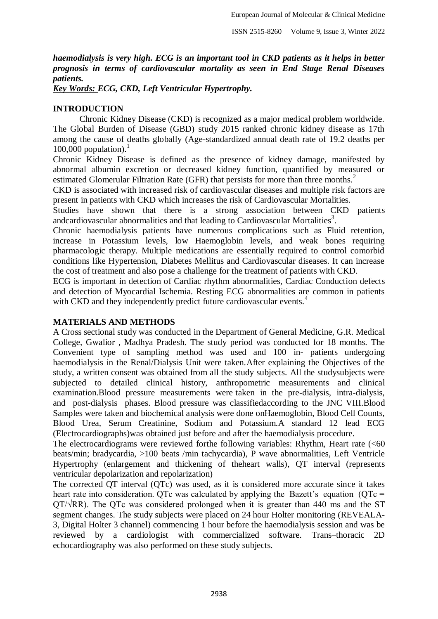*haemodialysis is very high. ECG is an important tool in CKD patients as it helps in better prognosis in terms of cardiovascular mortality as seen in End Stage Renal Diseases patients.* 

*Key Words: ECG, CKD, Left Ventricular Hypertrophy.*

## **INTRODUCTION**

Chronic Kidney Disease (CKD) is recognized as a major medical problem worldwide. The Global Burden of Disease (GBD) study 2015 ranked chronic kidney disease as 17th among the cause of deaths globally (Age-standardized annual death rate of 19.2 deaths per 100,000 population).<sup>1</sup>

Chronic Kidney Disease is defined as the presence of kidney damage, manifested by abnormal albumin excretion or decreased kidney function, quantified by measured or estimated Glomerular Filtration Rate (GFR) that persists for more than three months.<sup>2</sup>

CKD is associated with increased risk of cardiovascular diseases and multiple risk factors are present in patients with CKD which increases the risk of Cardiovascular Mortalities.

Studies have shown that there is a strong association between CKD patients andcardiovascular abnormalities and that leading to Cardiovascular Mortalities<sup>3</sup>.

Chronic haemodialysis patients have numerous complications such as Fluid retention, increase in Potassium levels, low Haemoglobin levels, and weak bones requiring pharmacologic therapy. Multiple medications are essentially required to control comorbid conditions like Hypertension, Diabetes Mellitus and Cardiovascular diseases. It can increase the cost of treatment and also pose a challenge for the treatment of patients with CKD.

ECG is important in detection of Cardiac rhythm abnormalities, Cardiac Conduction defects and detection of Myocardial Ischemia. Resting ECG abnormalities are common in patients with CKD and they independently predict future cardiovascular events.<sup>4</sup>

#### **MATERIALS AND METHODS**

A Cross sectional study was conducted in the Department of General Medicine, G.R. Medical College, Gwalior , Madhya Pradesh. The study period was conducted for 18 months. The Convenient type of sampling method was used and 100 in- patients undergoing haemodialysis in the Renal/Dialysis Unit were taken.After explaining the Objectives of the study, a written consent was obtained from all the study subjects. All the studysubjects were subjected to detailed clinical history, anthropometric measurements and clinical examination.Blood pressure measurements were taken in the pre-dialysis, intra-dialysis, and post-dialysis phases. Blood pressure was classifiedaccording to the JNC VIII.Blood Samples were taken and biochemical analysis were done onHaemoglobin, Blood Cell Counts, Blood Urea, Serum Creatinine, Sodium and Potassium.A standard 12 lead ECG (Electrocardiographs)was obtained just before and after the haemodialysis procedure.

The electrocardiograms were reviewed forthe following variables: Rhythm, Heart rate (<60) beats/min; bradycardia, >100 beats /min tachycardia), P wave abnormalities, Left Ventricle Hypertrophy (enlargement and thickening of theheart walls), QT interval (represents ventricular depolarization and repolarization)

The corrected QT interval (QTc) was used, as it is considered more accurate since it takes heart rate into consideration. QTc was calculated by applying the Bazett's equation ( $QTc$  =  $QT/\sqrt{RR}$ ). The QTc was considered prolonged when it is greater than 440 ms and the ST segment changes. The study subjects were placed on 24 hour Holter monitoring (REVEALA-3, Digital Holter 3 channel) commencing 1 hour before the haemodialysis session and was be reviewed by a cardiologist with commercialized software. Trans–thoracic 2D echocardiography was also performed on these study subjects.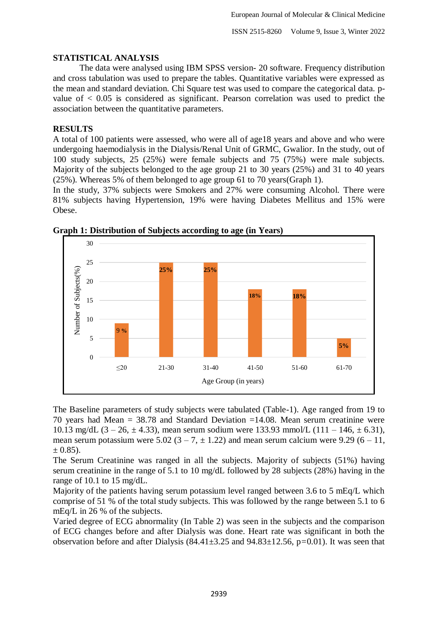## **STATISTICAL ANALYSIS**

The data were analysed using IBM SPSS version- 20 software. Frequency distribution and cross tabulation was used to prepare the tables. Quantitative variables were expressed as the mean and standard deviation. Chi Square test was used to compare the categorical data. pvalue of  $\lt$  0.05 is considered as significant. Pearson correlation was used to predict the association between the quantitative parameters.

## **RESULTS**

A total of 100 patients were assessed, who were all of age18 years and above and who were undergoing haemodialysis in the Dialysis/Renal Unit of GRMC, Gwalior. In the study, out of 100 study subjects, 25 (25%) were female subjects and 75 (75%) were male subjects. Majority of the subjects belonged to the age group 21 to 30 years (25%) and 31 to 40 years (25%). Whereas 5% of them belonged to age group 61 to 70 years(Graph 1).

In the study, 37% subjects were Smokers and 27% were consuming Alcohol. There were 81% subjects having Hypertension, 19% were having Diabetes Mellitus and 15% were Obese.



**Graph 1: Distribution of Subjects according to age (in Years)**

The Baseline parameters of study subjects were tabulated (Table-1). Age ranged from 19 to 70 years had Mean = 38.78 and Standard Deviation =14.08. Mean serum creatinine were 10.13 mg/dL  $(3 - 26, \pm 4.33)$ , mean serum sodium were 133.93 mmol/L  $(111 - 146, \pm 6.31)$ , mean serum potassium were  $5.02 (3 - 7, \pm 1.22)$  and mean serum calcium were 9.29 (6 – 11,  $\pm$  0.85).

The Serum Creatinine was ranged in all the subjects. Majority of subjects (51%) having serum creatinine in the range of 5.1 to 10 mg/dL followed by 28 subjects (28%) having in the range of 10.1 to 15 mg/dL.

Majority of the patients having serum potassium level ranged between 3.6 to 5 mEq/L which comprise of 51 % of the total study subjects. This was followed by the range between 5.1 to 6 mEq/L in 26 % of the subjects.

Varied degree of ECG abnormality (In Table 2) was seen in the subjects and the comparison of ECG changes before and after Dialysis was done. Heart rate was significant in both the observation before and after Dialysis (84.41±3.25 and 94.83±12.56, p*=*0.01). It was seen that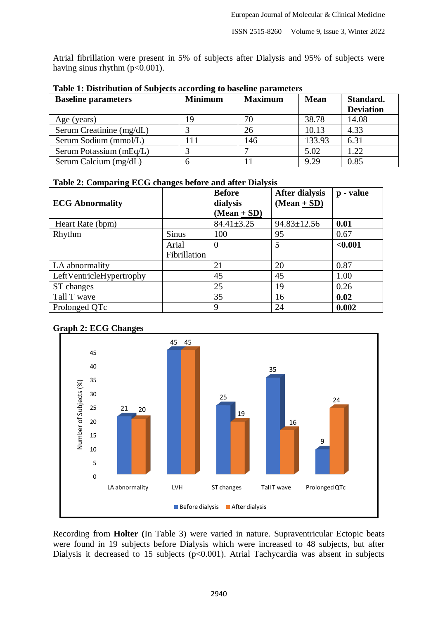Atrial fibrillation were present in 5% of subjects after Dialysis and 95% of subjects were having sinus rhythm (p<0.001).

| <b>Baseline parameters</b> | ີ<br><b>Minimum</b> | <b>Maximum</b> | <b>Mean</b> | Standard.        |
|----------------------------|---------------------|----------------|-------------|------------------|
|                            |                     |                |             | <b>Deviation</b> |
| Age (years)                | - 9                 | 70             | 38.78       | 14.08            |
| Serum Creatinine (mg/dL)   |                     | 26             | 10.13       | 4.33             |
| Serum Sodium (mmol/L)      | l 11                | 146            | 133.93      | 6.31             |
| Serum Potassium (mEq/L)    |                     |                | 5.02        | 1.22             |
| Serum Calcium (mg/dL)      |                     |                | 9.29        | 0.85             |

**Table 1: Distribution of Subjects according to baseline parameters**

## **Table 2: Comparing ECG changes before and after Dialysis**

|                          |              | <b>Before</b>    | <b>After dialysis</b> | p - value |
|--------------------------|--------------|------------------|-----------------------|-----------|
| <b>ECG Abnormality</b>   |              | dialysis         | $(Mean + SD)$         |           |
|                          |              | $(Mean + SD)$    |                       |           |
| Heart Rate (bpm)         |              | $84.41 \pm 3.25$ | $94.83 \pm 12.56$     | 0.01      |
| Rhythm                   | <b>Sinus</b> | 100              | 95                    | 0.67      |
|                          | Arial        | $\theta$         | 5                     | < 0.001   |
|                          | Fibrillation |                  |                       |           |
| LA abnormality           |              | 21               | 20                    | 0.87      |
| LeftVentricleHypertrophy |              | 45               | 45                    | 1.00      |
| ST changes               |              | 25               | 19                    | 0.26      |
| Tall T wave              |              | 35               | 16                    | 0.02      |
| Prolonged QTc            |              | 9                | 24                    | 0.002     |





Recording from **Holter (**In Table 3) were varied in nature. Supraventricular Ectopic beats were found in 19 subjects before Dialysis which were increased to 48 subjects, but after Dialysis it decreased to 15 subjects ( $p<0.001$ ). Atrial Tachycardia was absent in subjects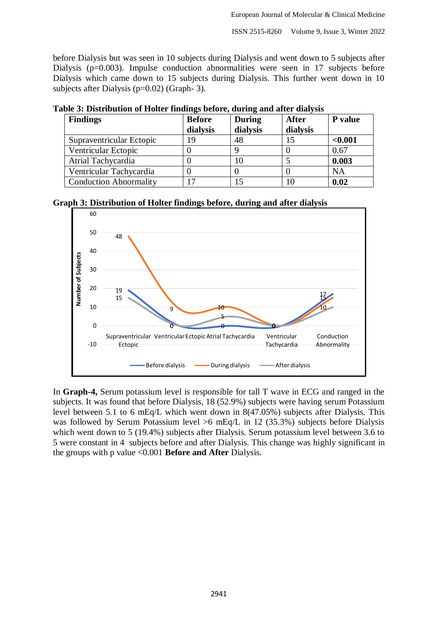before Dialysis but was seen in 10 subjects during Dialysis and went down to 5 subjects after Dialysis (p=0.003). Impulse conduction abnormalities were seen in 17 subjects before Dialysis which came down to 15 subjects during Dialysis. This further went down in 10 subjects after Dialysis (p=0.02) (Graph- 3).

| war o'i bibyliowyddi ol llolyel mhwmgo o'yloly; wmimg wmw miyel wmigolo |               |               |              |           |
|-------------------------------------------------------------------------|---------------|---------------|--------------|-----------|
| <b>Findings</b>                                                         | <b>Before</b> | <b>During</b> | <b>After</b> | P value   |
|                                                                         | dialysis      | dialysis      | dialysis     |           |
| Supraventricular Ectopic                                                | ۱9            | 48            |              | < 0.001   |
| Ventricular Ectopic                                                     |               |               |              | 0.67      |
| Atrial Tachycardia                                                      |               | 10            |              | 0.003     |
| Ventricular Tachycardia                                                 |               |               |              | <b>NA</b> |
| <b>Conduction Abnormality</b>                                           |               |               |              | 0.02      |

**Table 3: Distribution of Holter findings before, during and after dialysis**

**Graph 3: Distribution of Holter findings before, during and after dialysis**



In **Graph-4,** Serum potassium level is responsible for tall T wave in ECG and ranged in the subjects. It was found that before Dialysis, 18 (52.9%) subjects were having serum Potassium level between 5.1 to 6 mEq/L which went down in 8(47.05%) subjects after Dialysis. This was followed by Serum Potassium level >6 mEq/L in 12 (35.3%) subjects before Dialysis which went down to 5 (19.4%) subjects after Dialysis. Serum potassium level between 3.6 to 5 were constant in 4 subjects before and after Dialysis. This change was highly significant in the groups with p value <0.001 **Before and After** Dialysis.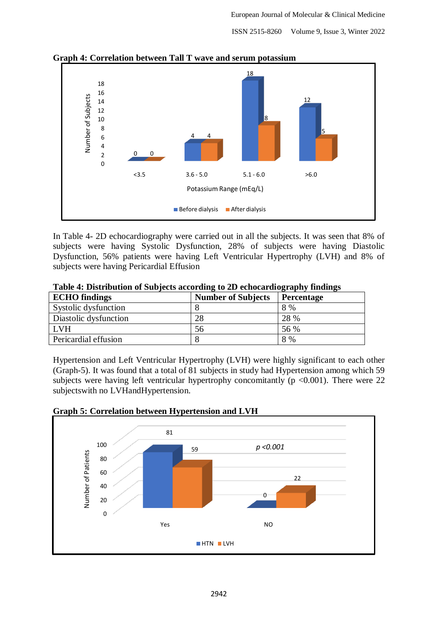ISSN 2515-8260 Volume 9, Issue 3, Winter 2022



**Graph 4: Correlation between Tall T wave and serum potassium**

In Table 4- 2D echocardiography were carried out in all the subjects. It was seen that 8% of subjects were having Systolic Dysfunction, 28% of subjects were having Diastolic Dysfunction, 56% patients were having Left Ventricular Hypertrophy (LVH) and 8% of subjects were having Pericardial Effusion

| <b>ECHO</b> findings  | <b>Number of Subjects</b> | Percentage |  |  |
|-----------------------|---------------------------|------------|--|--|
| Systolic dysfunction  |                           | 8 %        |  |  |
| Diastolic dysfunction | 28                        | 28 %       |  |  |
| LVH                   | 56                        | 56 %       |  |  |
| Pericardial effusion  |                           | 8 %        |  |  |

| Table 4: Distribution of Subjects according to 2D echocardiography findings |  |  |  |
|-----------------------------------------------------------------------------|--|--|--|
|                                                                             |  |  |  |

Hypertension and Left Ventricular Hypertrophy (LVH) were highly significant to each other (Graph-5). It was found that a total of 81 subjects in study had Hypertension among which 59 subjects were having left ventricular hypertrophy concomitantly ( $p < 0.001$ ). There were 22 subjectswith no LVHandHypertension.



**Graph 5: Correlation between Hypertension and LVH**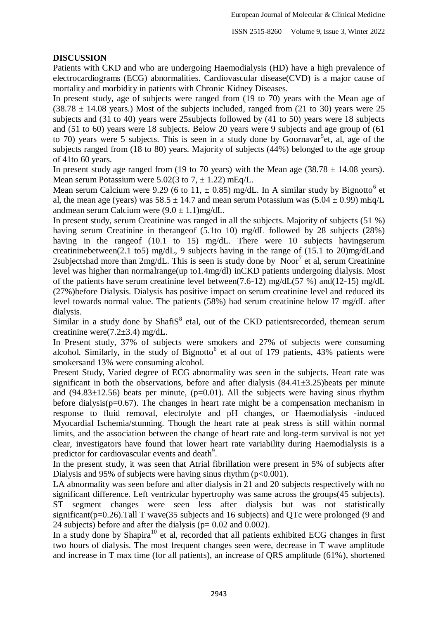## **DISCUSSION**

Patients with CKD and who are undergoing Haemodialysis (HD) have a high prevalence of electrocardiograms (ECG) abnormalities. Cardiovascular disease(CVD) is a major cause of mortality and morbidity in patients with Chronic Kidney Diseases.

In present study, age of subjects were ranged from (19 to 70) years with the Mean age of  $(38.78 \pm 14.08 \text{ years.})$  Most of the subjects included, ranged from (21 to 30) years were 25 subjects and (31 to 40) years were 25subjects followed by (41 to 50) years were 18 subjects and (51 to 60) years were 18 subjects. Below 20 years were 9 subjects and age group of (61 to 70) years were 5 subjects. This is seen in a study done by Goornavar<sup>5</sup> et, al, age of the subjects ranged from (18 to 80) years. Majority of subjects (44%) belonged to the age group of 41to 60 years.

In present study age ranged from (19 to 70 years) with the Mean age (38.78  $\pm$  14.08 years). Mean serum Potassium were  $5.02(3$  to  $7. \pm 1.22$ ) mEq/L.

Mean serum Calcium were 9.29 (6 to 11,  $\pm$  0.85) mg/dL. In A similar study by Bignotto<sup>6</sup> et al, the mean age (years) was  $58.5 \pm 14.7$  and mean serum Potassium was  $(5.04 \pm 0.99)$  mEq/L andmean serum Calcium were  $(9.0 \pm 1.1)$ mg/dL.

In present study, serum Creatinine was ranged in all the subjects. Majority of subjects (51 %) having serum Creatinine in therangeof (5.1to 10) mg/dL followed by 28 subjects (28%) having in the range of (10.1 to 15) mg/dL. There were 10 subjects havingserum creatininebetween(2.1 to5) mg/dL, 9 subjects having in the range of (15.1 to 20)mg/dLand 2subjectshad more than  $2mg/dL$ . This is seen is study done by Noor<sup>7</sup> et al, serum Creatinine level was higher than normalrange(up to1.4mg/dl) inCKD patients undergoing dialysis. Most of the patients have serum creatinine level between(7.6-12) mg/dL(57 %) and(12-15) mg/dL (27%)before Dialysis. Dialysis has positive impact on serum creatinine level and reduced its level towards normal value. The patients (58%) had serum creatinine below I7 mg/dL after dialysis.

Similar in a study done by Shafi $S<sup>8</sup>$  etal, out of the CKD patientsrecorded, themean serum creatinine were(7.2±3.4) mg/dL.

In Present study, 37% of subjects were smokers and 27% of subjects were consuming alcohol. Similarly, in the study of Bignotto<sup>6</sup> et al out of 179 patients, 43% patients were smokersand 13% were consuming alcohol.

Present Study, Varied degree of ECG abnormality was seen in the subjects. Heart rate was significant in both the observations, before and after dialysis  $(84.41\pm3.25)$ beats per minute and  $(94.83\pm12.56)$  beats per minute,  $(p=0.01)$ . All the subjects were having sinus rhythm before dialysis( $p=0.67$ ). The changes in heart rate might be a compensation mechanism in response to fluid removal, electrolyte and pH changes, or Haemodialysis -induced Myocardial Ischemia/stunning. Though the heart rate at peak stress is still within normal limits, and the association between the change of heart rate and long-term survival is not yet clear, investigators have found that lower heart rate variability during Haemodialysis is a predictor for cardiovascular events and death<sup>9</sup>.

In the present study, it was seen that Atrial fibrillation were present in 5% of subjects after Dialysis and 95% of subjects were having sinus rhythm  $(p<0.001)$ .

LA abnormality was seen before and after dialysis in 21 and 20 subjects respectively with no significant difference. Left ventricular hypertrophy was same across the groups(45 subjects). ST segment changes were seen less after dialysis but was not statistically significant(p=0.26).Tall T wave(35 subjects and 16 subjects) and QTc were prolonged (9 and 24 subjects) before and after the dialysis (p= 0.02 and 0.002).

In a study done by Shapira<sup>10</sup> et al, recorded that all patients exhibited ECG changes in first two hours of dialysis. The most frequent changes seen were, decrease in T wave amplitude and increase in T max time (for all patients), an increase of QRS amplitude (61%), shortened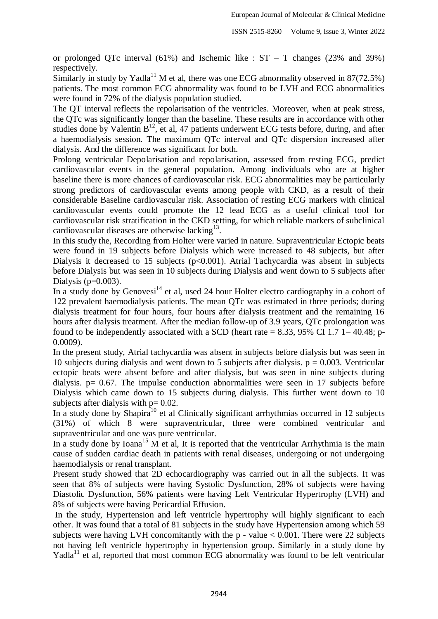or prolonged OTc interval (61%) and Ischemic like :  $ST - T$  changes (23% and 39%) respectively.

Similarly in study by Yadla<sup>11</sup> M et al, there was one ECG abnormality observed in  $87(72.5%)$ patients. The most common ECG abnormality was found to be LVH and ECG abnormalities were found in 72% of the dialysis population studied.

The QT interval reflects the repolarisation of the ventricles. Moreover, when at peak stress, the QTc was significantly longer than the baseline. These results are in accordance with other studies done by Valentin  $B<sup>12</sup>$ , et al, 47 patients underwent ECG tests before, during, and after a haemodialysis session. The maximum QTc interval and QTc dispersion increased after dialysis. And the difference was significant for both.

Prolong ventricular Depolarisation and repolarisation, assessed from resting ECG, predict cardiovascular events in the general population. Among individuals who are at higher baseline there is more chances of cardiovascular risk. ECG abnormalities may be particularly strong predictors of cardiovascular events among people with CKD, as a result of their considerable Baseline cardiovascular risk. Association of resting ECG markers with clinical cardiovascular events could promote the 12 lead ECG as a useful clinical tool for cardiovascular risk stratification in the CKD setting, for which reliable markers of subclinical cardiovascular diseases are otherwise lacking $^{13}$ .

In this study the, Recording from Holter were varied in nature. Supraventricular Ectopic beats were found in 19 subjects before Dialysis which were increased to 48 subjects, but after Dialysis it decreased to 15 subjects  $(p<0.001)$ . Atrial Tachycardia was absent in subjects before Dialysis but was seen in 10 subjects during Dialysis and went down to 5 subjects after Dialysis ( $p=0.003$ ).

In a study done by Genovesi<sup>14</sup> et al, used 24 hour Holter electro cardiography in a cohort of 122 prevalent haemodialysis patients. The mean QTc was estimated in three periods; during dialysis treatment for four hours, four hours after dialysis treatment and the remaining 16 hours after dialysis treatment. After the median follow-up of 3.9 years, QTc prolongation was found to be independently associated with a SCD (heart rate  $= 8.33, 95\%$  CI 1.7 1–40.48; p-0.0009).

In the present study, Atrial tachycardia was absent in subjects before dialysis but was seen in 10 subjects during dialysis and went down to 5 subjects after dialysis.  $p = 0.003$ . Ventricular ectopic beats were absent before and after dialysis, but was seen in nine subjects during dialysis. p= 0.67. The impulse conduction abnormalities were seen in 17 subjects before Dialysis which came down to 15 subjects during dialysis. This further went down to 10 subjects after dialysis with  $p = 0.02$ .

In a study done by Shapira<sup>10</sup> et al Clinically significant arrhythmias occurred in 12 subjects (31%) of which 8 were supraventricular, three were combined ventricular and supraventricular and one was pure ventricular.

In a study done by Ioana<sup>15</sup> M et al, It is reported that the ventricular Arrhythmia is the main cause of sudden cardiac death in patients with renal diseases, undergoing or not undergoing haemodialysis or renal transplant.

Present study showed that 2D echocardiography was carried out in all the subjects. It was seen that 8% of subjects were having Systolic Dysfunction, 28% of subjects were having Diastolic Dysfunction, 56% patients were having Left Ventricular Hypertrophy (LVH) and 8% of subjects were having Pericardial Effusion.

In the study, Hypertension and left ventricle hypertrophy will highly significant to each other. It was found that a total of 81 subjects in the study have Hypertension among which 59 subjects were having LVH concomitantly with the  $p - value < 0.001$ . There were 22 subjects not having left ventricle hypertrophy in hypertension group. Similarly in a study done by Yadla<sup>11</sup> et al, reported that most common ECG abnormality was found to be left ventricular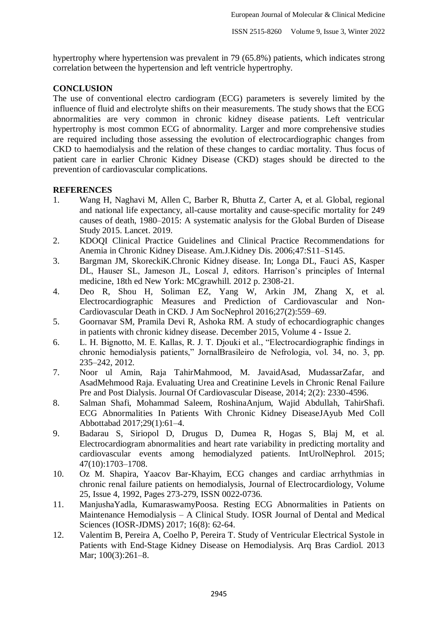hypertrophy where hypertension was prevalent in 79 (65.8%) patients, which indicates strong correlation between the hypertension and left ventricle hypertrophy.

## **CONCLUSION**

The use of conventional electro cardiogram (ECG) parameters is severely limited by the influence of fluid and electrolyte shifts on their measurements. The study shows that the ECG abnormalities are very common in chronic kidney disease patients. Left ventricular hypertrophy is most common ECG of abnormality. Larger and more comprehensive studies are required including those assessing the evolution of electrocardiographic changes from CKD to haemodialysis and the relation of these changes to cardiac mortality. Thus focus of patient care in earlier Chronic Kidney Disease (CKD) stages should be directed to the prevention of cardiovascular complications.

## **REFERENCES**

- 1. Wang H, Naghavi M, Allen C, Barber R, Bhutta Z, Carter A, et al. Global, regional and national life expectancy, all-cause mortality and cause-specific mortality for 249 causes of death, 1980–2015: A systematic analysis for the Global Burden of Disease Study 2015. Lancet. 2019.
- 2. KDOQI Clinical Practice Guidelines and Clinical Practice Recommendations for Anemia in Chronic Kidney Disease. Am.J.Kidney Dis. 2006;47:S11–S145.
- 3. Bargman JM, SkoreckiK.Chronic Kidney disease. In; Longa DL, Fauci AS, Kasper DL, Hauser SL, Jameson JL, Loscal J, editors. Harrison's principles of Internal medicine, 18th ed New York: MCgrawhill. 2012 p. 2308-21.
- 4. Deo R, Shou H, Soliman EZ, Yang W, Arkin JM, Zhang X, et al. Electrocardiographic Measures and Prediction of Cardiovascular and Non-Cardiovascular Death in CKD. J Am SocNephrol 2016;27(2):559–69.
- 5. Goornavar SM, Pramila Devi R, Ashoka RM. A study of echocardiographic changes in patients with chronic kidney disease. December 2015, Volume 4 - Issue 2.
- 6. L. H. Bignotto, M. E. Kallas, R. J. T. Djouki et al., "Electrocardiographic findings in chronic hemodialysis patients," JornalBrasileiro de Nefrologia, vol. 34, no. 3, pp. 235–242, 2012.
- 7. Noor ul Amin, Raja TahirMahmood, M. JavaidAsad, MudassarZafar, and AsadMehmood Raja. Evaluating Urea and Creatinine Levels in Chronic Renal Failure Pre and Post Dialysis. Journal Of Cardiovascular Disease, 2014; 2(2): 2330-4596.
- 8. Salman Shafi, Mohammad Saleem, RoshinaAnjum, Wajid Abdullah, TahirShafi. ECG Abnormalities In Patients With Chronic Kidney DiseaseJAyub Med Coll Abbottabad 2017;29(1):61–4.
- 9. Badarau S, Siriopol D, Drugus D, Dumea R, Hogas S, Blaj M, et al. Electrocardiogram abnormalities and heart rate variability in predicting mortality and cardiovascular events among hemodialyzed patients. IntUrolNephrol. 2015; 47(10):1703–1708.
- 10. Oz M. Shapira, Yaacov Bar-Khayim, ECG changes and cardiac arrhythmias in chronic renal failure patients on hemodialysis, Journal of Electrocardiology, Volume 25, Issue 4, 1992, Pages 273-279, ISSN 0022-0736.
- 11. ManjushaYadla, KumaraswamyPoosa. Resting ECG Abnormalities in Patients on Maintenance Hemodialysis – A Clinical Study. IOSR Journal of Dental and Medical Sciences (IOSR-JDMS) 2017; 16(8): 62-64.
- 12. Valentim B, Pereira A, Coelho P, Pereira T. Study of Ventricular Electrical Systole in Patients with End-Stage Kidney Disease on Hemodialysis. Arq Bras Cardiol. 2013 Mar; 100(3):261–8.